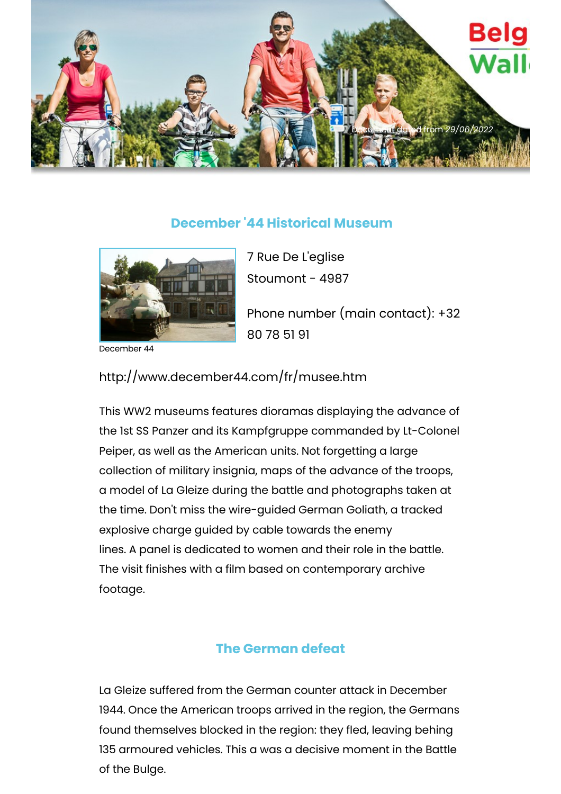

## **December '44 Historical Museum**



December 44

7 Rue De L'eglise Stoumont - 4987 Phone number (main contact): +32 80 78 51 91

## http://www.december44.com/fr/musee.htm

This WW2 museums features dioramas displaying the advance of the 1st SS Panzer and its Kampfgruppe commanded by Lt-Colonel Peiper, as well as the American units. Not forgetting a large collection of military insignia, maps of the advance of the troops, a model of La Gleize during the battle and photographs taken at the time. Don't miss the wire-guided German Goliath, a tracked explosive charge guided by cable towards the enemy lines. A panel is dedicated to women and their role in the battle. The visit finishes with a film based on contemporary archive footage.

## **The German defeat**

La Gleize suffered from the German counter attack in December 1944. Once the American troops arrived in the region, the Germans found themselves blocked in the region: they fled, leaving behing 135 armoured vehicles. This a was a decisive moment in the Battle of the Bulge.